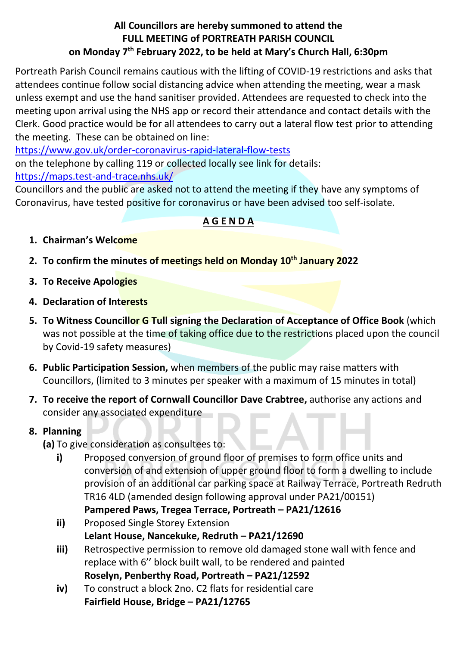#### **All Councillors are hereby summoned to attend the FULL MEETING of PORTREATH PARISH COUNCIL on Monday 7 th February 2022, to be held at Mary's Church Hall, 6:30pm**

Portreath Parish Council remains cautious with the lifting of COVID-19 restrictions and asks that attendees continue follow social distancing advice when attending the meeting, wear a mask unless exempt and use the hand sanitiser provided. Attendees are requested to check into the meeting upon arrival using the NHS app or record their attendance and contact details with the Clerk. Good practice would be for all attendees to carry out a lateral flow test prior to attending the meeting. These can be obtained on line:

<https://www.gov.uk/order-coronavirus-rapid-lateral-flow-tests> on the telephone by calling 119 or collected locally see link for details:

<https://maps.test-and-trace.nhs.uk/>

Councillors and the public are asked not to attend the meeting if they have any symptoms of Coronavirus, have tested positive for coronavirus or have been advised too self-isolate.

#### **A G E N D A**

- **1. Chairman's Welcome**
- **2. To confirm the minutes of meetings held on Monday 10th January 2022**
- **3. To Receive Apologies**
- **4. Declaration of Interests**
- **5. To Witness Councillor G Tull signing the Declaration of Acceptance of Office Book** (which was not possible at the time of taking office due to the restrictions placed upon the council by Covid-19 safety measures)
- **6. Public Participation Session,** when members of the public may raise matters with Councillors, (limited to 3 minutes per speaker with a maximum of 15 minutes in total)
- **7. To receive the report of Cornwall Councillor Dave Crabtree,** authorise any actions and consider any associated expenditure

## **8. Planning**

- **(a)** To give consideration as consultees to:
	- **i)** Proposed conversion of ground floor of premises to form office units and conversion of and extension of upper ground floor to form a dwelling to include provision of an additional car parking space at Railway Terrace, Portreath Redruth TR16 4LD (amended design following approval under PA21/00151)
		- **Pampered Paws, Tregea Terrace, Portreath – PA21/12616**
	- **ii)** Proposed Single Storey Extension **Lelant House, Nancekuke, Redruth – PA21/12690**
	- **iii)** Retrospective permission to remove old damaged stone wall with fence and replace with 6'' block built wall, to be rendered and painted **Roselyn, Penberthy Road, Portreath – PA21/12592**
	- **iv)** To construct a block 2no. C2 flats for residential care **Fairfield House, Bridge – PA21/12765**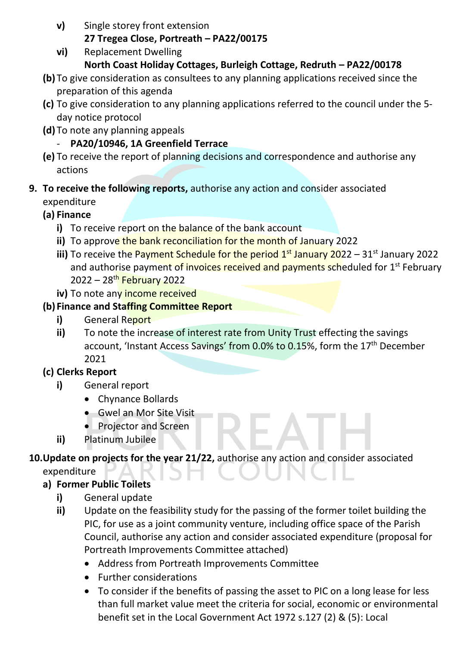**v)** Single storey front extension

#### **27 Tregea Close, Portreath – PA22/00175**

**vi)** Replacement Dwelling

#### **North Coast Holiday Cottages, Burleigh Cottage, Redruth – PA22/00178**

- **(b)** To give consideration as consultees to any planning applications received since the preparation of this agenda
- **(c)** To give consideration to any planning applications referred to the council under the 5 day notice protocol
- **(d)** To note any planning appeals

#### - **PA20/10946, 1A Greenfield Terrace**

**(e)** To receive the report of planning decisions and correspondence and authorise any actions

#### **9. To receive the following reports,** authorise any action and consider associated expenditure

#### **(a) Finance**

- **i)** To receive report on the balance of the bank account
- **ii)** To approve the bank reconciliation for the month of January 2022
- **iii)** To receive the Payment Schedule for the period 1<sup>st</sup> January 2022 31<sup>st</sup> January 2022 and authorise payment of invoices received and payments scheduled for 1<sup>st</sup> February 2022 – 28th February 2022
- iv) To note any income received

#### **(b) Finance and Staffing Committee Report**

- **i)** General Report
- **ii)** To note the increase of interest rate from Unity Trust effecting the savings account, 'Instant Access Savings' from 0.0% to 0.15%, form the 17<sup>th</sup> December 2021

## **(c) Clerks Report**

- **i)** General report
	- Chynance Bollards
	- Gwel an Mor Site Visit
	- Projector and Screen
- **ii)** Platinum Jubilee

## **10.Update on projects for the year 21/22,** authorise any action and consider associated

expenditure

## **a) Former Public Toilets**

- **i)** General update
- **ii)** Update on the feasibility study for the passing of the former toilet building the PIC, for use as a joint community venture, including office space of the Parish Council, authorise any action and consider associated expenditure (proposal for Portreath Improvements Committee attached)
	- Address from Portreath Improvements Committee
	- Further considerations
	- To consider if the benefits of passing the asset to PIC on a long lease for less than full market value meet the criteria for social, economic or environmental benefit set in the Local Government Act 1972 s.127 (2) & (5): Local